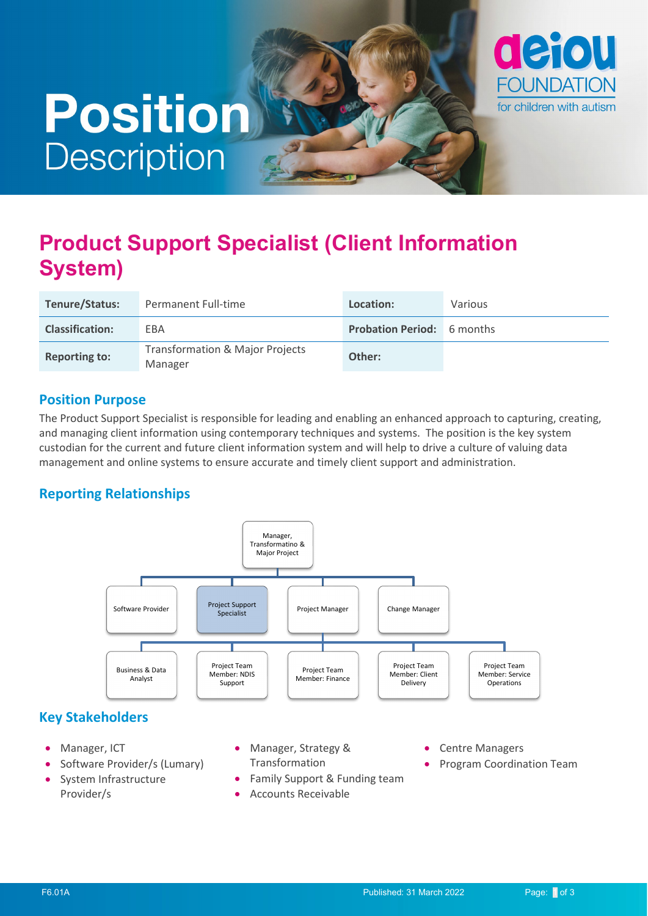# **Position Description**



## **Product Support Specialist (Client Information System)**

| Tenure/Status:         | Permanent Full-time                                   | Location:                         | Various |
|------------------------|-------------------------------------------------------|-----------------------------------|---------|
| <b>Classification:</b> | EBA                                                   | <b>Probation Period:</b> 6 months |         |
| <b>Reporting to:</b>   | <b>Transformation &amp; Major Projects</b><br>Manager | Other:                            |         |

#### **Position Purpose**

The Product Support Specialist is responsible for leading and enabling an enhanced approach to capturing, creating, and managing client information using contemporary techniques and systems. The position is the key system custodian for the current and future client information system and will help to drive a culture of valuing data management and online systems to ensure accurate and timely client support and administration.

### **Reporting Relationships**



### **Key Stakeholders**

- Manager, ICT
- Software Provider/s (Lumary)
- System Infrastructure Provider/s
- Manager, Strategy & Transformation
- Family Support & Funding team
- Accounts Receivable
- Centre Managers
- Program Coordination Team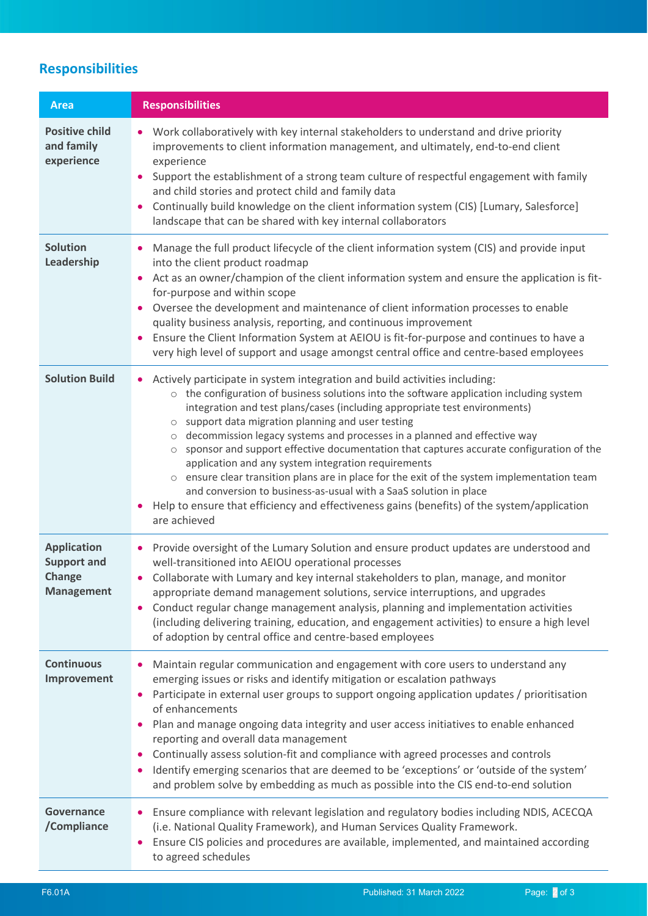## **Responsibilities**

| <b>Area</b>                                                             | <b>Responsibilities</b>                                                                                                                                                                                                                                                                                                                                                                                                                                                                                                                                                                                                                                                                                                                                                                                                                   |
|-------------------------------------------------------------------------|-------------------------------------------------------------------------------------------------------------------------------------------------------------------------------------------------------------------------------------------------------------------------------------------------------------------------------------------------------------------------------------------------------------------------------------------------------------------------------------------------------------------------------------------------------------------------------------------------------------------------------------------------------------------------------------------------------------------------------------------------------------------------------------------------------------------------------------------|
| <b>Positive child</b><br>and family<br>experience                       | • Work collaboratively with key internal stakeholders to understand and drive priority<br>improvements to client information management, and ultimately, end-to-end client<br>experience<br>Support the establishment of a strong team culture of respectful engagement with family<br>$\bullet$<br>and child stories and protect child and family data<br>Continually build knowledge on the client information system (CIS) [Lumary, Salesforce]<br>landscape that can be shared with key internal collaborators                                                                                                                                                                                                                                                                                                                        |
| <b>Solution</b><br>Leadership                                           | Manage the full product lifecycle of the client information system (CIS) and provide input<br>into the client product roadmap<br>Act as an owner/champion of the client information system and ensure the application is fit-<br>for-purpose and within scope<br>Oversee the development and maintenance of client information processes to enable<br>quality business analysis, reporting, and continuous improvement<br>Ensure the Client Information System at AEIOU is fit-for-purpose and continues to have a<br>٠<br>very high level of support and usage amongst central office and centre-based employees                                                                                                                                                                                                                         |
| <b>Solution Build</b>                                                   | Actively participate in system integration and build activities including:<br>$\circ$ the configuration of business solutions into the software application including system<br>integration and test plans/cases (including appropriate test environments)<br>o support data migration planning and user testing<br>o decommission legacy systems and processes in a planned and effective way<br>sponsor and support effective documentation that captures accurate configuration of the<br>application and any system integration requirements<br>$\circ$ ensure clear transition plans are in place for the exit of the system implementation team<br>and conversion to business-as-usual with a SaaS solution in place<br>Help to ensure that efficiency and effectiveness gains (benefits) of the system/application<br>are achieved |
| <b>Application</b><br><b>Support and</b><br>Change<br><b>Management</b> | Provide oversight of the Lumary Solution and ensure product updates are understood and<br>$\bullet$<br>well-transitioned into AEIOU operational processes<br>Collaborate with Lumary and key internal stakeholders to plan, manage, and monitor<br>٠<br>appropriate demand management solutions, service interruptions, and upgrades<br>Conduct regular change management analysis, planning and implementation activities<br>(including delivering training, education, and engagement activities) to ensure a high level<br>of adoption by central office and centre-based employees                                                                                                                                                                                                                                                    |
| <b>Continuous</b><br>Improvement                                        | Maintain regular communication and engagement with core users to understand any<br>٠<br>emerging issues or risks and identify mitigation or escalation pathways<br>Participate in external user groups to support ongoing application updates / prioritisation<br>of enhancements<br>Plan and manage ongoing data integrity and user access initiatives to enable enhanced<br>$\bullet$<br>reporting and overall data management<br>Continually assess solution-fit and compliance with agreed processes and controls<br>Identify emerging scenarios that are deemed to be 'exceptions' or 'outside of the system'<br>٠<br>and problem solve by embedding as much as possible into the CIS end-to-end solution                                                                                                                            |
| Governance<br>/Compliance                                               | Ensure compliance with relevant legislation and regulatory bodies including NDIS, ACECQA<br>(i.e. National Quality Framework), and Human Services Quality Framework.<br>Ensure CIS policies and procedures are available, implemented, and maintained according<br>$\bullet$<br>to agreed schedules                                                                                                                                                                                                                                                                                                                                                                                                                                                                                                                                       |